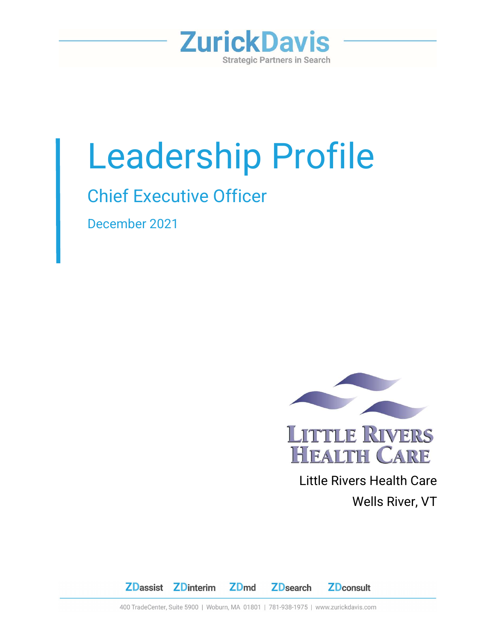

# Leadership Profile

# Chief Executive Officer

December 2021



 Little Rivers Health Care Wells River, VT



400 TradeCenter, Suite 5900 | Woburn, MA 01801 | 781-938-1975 | www.zurickdavis.com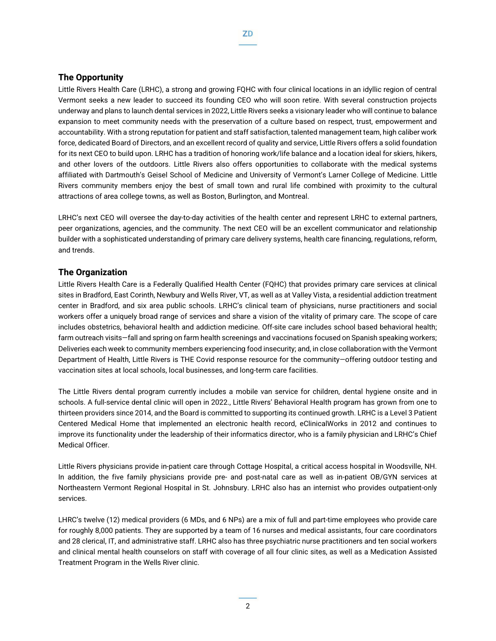#### The Opportunity

Little Rivers Health Care (LRHC), a strong and growing FQHC with four clinical locations in an idyllic region of central Vermont seeks a new leader to succeed its founding CEO who will soon retire. With several construction projects underway and plans to launch dental services in 2022, Little Rivers seeks a visionary leader who will continue to balance expansion to meet community needs with the preservation of a culture based on respect, trust, empowerment and accountability. With a strong reputation for patient and staff satisfaction, talented management team, high caliber work force, dedicated Board of Directors, and an excellent record of quality and service, Little Rivers offers a solid foundation for its next CEO to build upon. LRHC has a tradition of honoring work/life balance and a location ideal for skiers, hikers, and other lovers of the outdoors. Little Rivers also offers opportunities to collaborate with the medical systems affiliated with Dartmouth's Geisel School of Medicine and University of Vermont's Larner College of Medicine. Little Rivers community members enjoy the best of small town and rural life combined with proximity to the cultural attractions of area college towns, as well as Boston, Burlington, and Montreal.

LRHC's next CEO will oversee the day-to-day activities of the health center and represent LRHC to external partners, peer organizations, agencies, and the community. The next CEO will be an excellent communicator and relationship builder with a sophisticated understanding of primary care delivery systems, health care financing, regulations, reform, and trends.

#### The Organization

Little Rivers Health Care is a Federally Qualified Health Center (FQHC) that provides primary care services at clinical sites in Bradford, East Corinth, Newbury and Wells River, VT, as well as at Valley Vista, a residential addiction treatment center in Bradford, and six area public schools. LRHC's clinical team of physicians, nurse practitioners and social workers offer a uniquely broad range of services and share a vision of the vitality of primary care. The scope of care includes obstetrics, behavioral health and addiction medicine. Off-site care includes school based behavioral health; farm outreach visits—fall and spring on farm health screenings and vaccinations focused on Spanish speaking workers; Deliveries each week to community members experiencing food insecurity; and, in close collaboration with the Vermont Department of Health, Little Rivers is THE Covid response resource for the community—offering outdoor testing and vaccination sites at local schools, local businesses, and long-term care facilities.

The Little Rivers dental program currently includes a mobile van service for children, dental hygiene onsite and in schools. A full-service dental clinic will open in 2022., Little Rivers' Behavioral Health program has grown from one to thirteen providers since 2014, and the Board is committed to supporting its continued growth. LRHC is a Level 3 Patient Centered Medical Home that implemented an electronic health record, eClinicalWorks in 2012 and continues to improve its functionality under the leadership of their informatics director, who is a family physician and LRHC's Chief Medical Officer.

Little Rivers physicians provide in-patient care through Cottage Hospital, a critical access hospital in Woodsville, NH. In addition, the five family physicians provide pre- and post-natal care as well as in-patient OB/GYN services at Northeastern Vermont Regional Hospital in St. Johnsbury. LRHC also has an internist who provides outpatient-only services.

LHRC's twelve (12) medical providers (6 MDs, and 6 NPs) are a mix of full and part-time employees who provide care for roughly 8,000 patients. They are supported by a team of 16 nurses and medical assistants, four care coordinators and 28 clerical, IT, and administrative staff. LRHC also has three psychiatric nurse practitioners and ten social workers and clinical mental health counselors on staff with coverage of all four clinic sites, as well as a Medication Assisted Treatment Program in the Wells River clinic.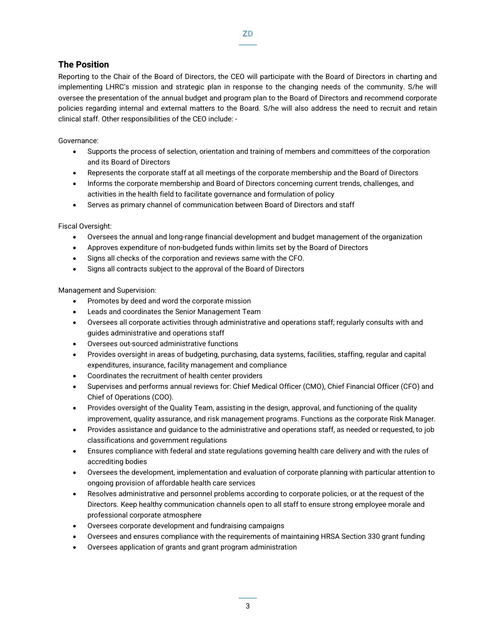## The Position

Reporting to the Chair of the Board of Directors, the CEO will participate with the Board of Directors in charting and implementing LHRC's mission and strategic plan in response to the changing needs of the community. S/he will oversee the presentation of the annual budget and program plan to the Board of Directors and recommend corporate policies regarding internal and external matters to the Board. S/he will also address the need to recruit and retain clinical staff. Other responsibilities of the CEO include: -

Governance:

- Supports the process of selection, orientation and training of members and committees of the corporation and its Board of Directors
- Represents the corporate staff at all meetings of the corporate membership and the Board of Directors
- Informs the corporate membership and Board of Directors concerning current trends, challenges, and activities in the health field to facilitate governance and formulation of policy
- Serves as primary channel of communication between Board of Directors and staff

Fiscal Oversight:

- Oversees the annual and long-range financial development and budget management of the organization
- Approves expenditure of non-budgeted funds within limits set by the Board of Directors
- Signs all checks of the corporation and reviews same with the CFO.
- Signs all contracts subject to the approval of the Board of Directors

Management and Supervision:

- Promotes by deed and word the corporate mission
- Leads and coordinates the Senior Management Team
- Oversees all corporate activities through administrative and operations staff; regularly consults with and guides administrative and operations staff
- Oversees out-sourced administrative functions
- Provides oversight in areas of budgeting, purchasing, data systems, facilities, staffing, regular and capital expenditures, insurance, facility management and compliance
- Coordinates the recruitment of health center providers
- Supervises and performs annual reviews for: Chief Medical Officer (CMO), Chief Financial Officer (CFO) and Chief of Operations (COO).
- Provides oversight of the Quality Team, assisting in the design, approval, and functioning of the quality improvement, quality assurance, and risk management programs. Functions as the corporate Risk Manager.
- Provides assistance and guidance to the administrative and operations staff, as needed or requested, to job classifications and government regulations
- Ensures compliance with federal and state regulations governing health care delivery and with the rules of accrediting bodies
- Oversees the development, implementation and evaluation of corporate planning with particular attention to ongoing provision of affordable health care services
- Resolves administrative and personnel problems according to corporate policies, or at the request of the Directors. Keep healthy communication channels open to all staff to ensure strong employee morale and professional corporate atmosphere
- Oversees corporate development and fundraising campaigns
- Oversees and ensures compliance with the requirements of maintaining HRSA Section 330 grant funding
- Oversees application of grants and grant program administration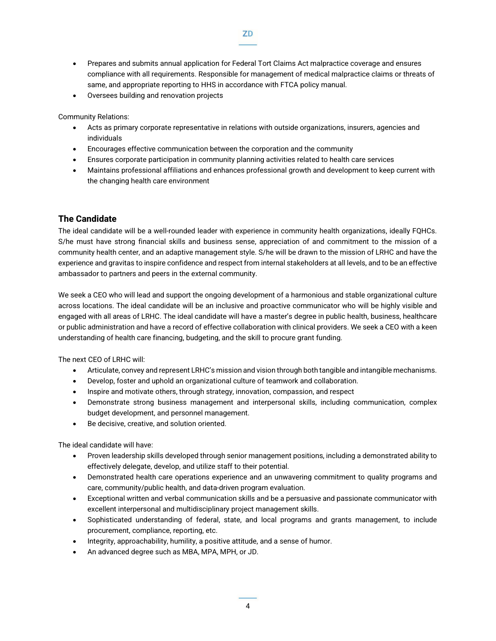- Prepares and submits annual application for Federal Tort Claims Act malpractice coverage and ensures compliance with all requirements. Responsible for management of medical malpractice claims or threats of same, and appropriate reporting to HHS in accordance with FTCA policy manual.
- Oversees building and renovation projects

Community Relations:

- Acts as primary corporate representative in relations with outside organizations, insurers, agencies and individuals
- Encourages effective communication between the corporation and the community
- Ensures corporate participation in community planning activities related to health care services
- Maintains professional affiliations and enhances professional growth and development to keep current with the changing health care environment

# The Candidate

The ideal candidate will be a well-rounded leader with experience in community health organizations, ideally FQHCs. S/he must have strong financial skills and business sense, appreciation of and commitment to the mission of a community health center, and an adaptive management style. S/he will be drawn to the mission of LRHC and have the experience and gravitas to inspire confidence and respect from internal stakeholders at all levels, and to be an effective ambassador to partners and peers in the external community.

We seek a CEO who will lead and support the ongoing development of a harmonious and stable organizational culture across locations. The ideal candidate will be an inclusive and proactive communicator who will be highly visible and engaged with all areas of LRHC. The ideal candidate will have a master's degree in public health, business, healthcare or public administration and have a record of effective collaboration with clinical providers. We seek a CEO with a keen understanding of health care financing, budgeting, and the skill to procure grant funding.

The next CEO of LRHC will:

- Articulate, convey and represent LRHC's mission and vision through both tangible and intangible mechanisms.
- Develop, foster and uphold an organizational culture of teamwork and collaboration.
- Inspire and motivate others, through strategy, innovation, compassion, and respect
- Demonstrate strong business management and interpersonal skills, including communication, complex budget development, and personnel management.
- Be decisive, creative, and solution oriented.

The ideal candidate will have:

- Proven leadership skills developed through senior management positions, including a demonstrated ability to effectively delegate, develop, and utilize staff to their potential.
- Demonstrated health care operations experience and an unwavering commitment to quality programs and care, community/public health, and data-driven program evaluation.
- Exceptional written and verbal communication skills and be a persuasive and passionate communicator with excellent interpersonal and multidisciplinary project management skills.
- Sophisticated understanding of federal, state, and local programs and grants management, to include procurement, compliance, reporting, etc.
- Integrity, approachability, humility, a positive attitude, and a sense of humor.
- An advanced degree such as MBA, MPA, MPH, or JD.